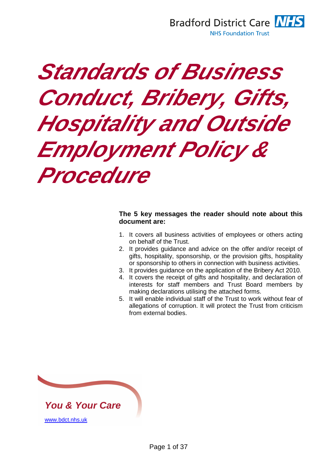

# **Standards of Business Conduct, Bribery, Gifts, Hospitality and Outside Employment Policy & Procedure**

#### **The 5 key messages the reader should note about this document are:**

- 1. It covers all business activities of employees or others acting on behalf of the Trust.
- 2. It provides guidance and advice on the offer and/or receipt of gifts, hospitality, sponsorship, or the provision gifts, hospitality or sponsorship to others in connection with business activities.
- 3. It provides guidance on the application of the Bribery Act 2010.
- 4. It covers the receipt of gifts and hospitality, and declaration of interests for staff members and Trust Board members by making declarations utilising the attached forms.
- 5. It will enable individual staff of the Trust to work without fear of allegations of corruption. It will protect the Trust from criticism from external bodies.

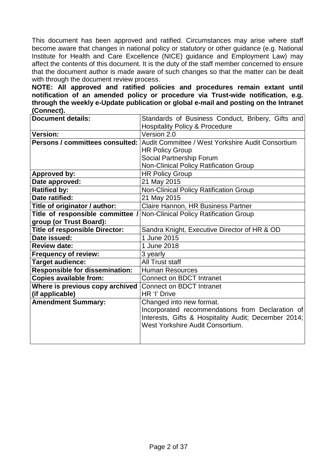This document has been approved and ratified. Circumstances may arise where staff become aware that changes in national policy or statutory or other guidance (e.g. National Institute for Health and Care Excellence (NICE) guidance and Employment Law) may affect the contents of this document. It is the duty of the staff member concerned to ensure that the document author is made aware of such changes so that the matter can be dealt with through the document review process.

**NOTE: All approved and ratified policies and procedures remain extant until notification of an amended policy or procedure via Trust-wide notification, e.g. through the weekly e-Update publication or global e-mail and posting on the Intranet (Connect).** 

| <b>Document details:</b>              | Standards of Business Conduct, Bribery, Gifts and                                        |  |  |
|---------------------------------------|------------------------------------------------------------------------------------------|--|--|
|                                       | <b>Hospitality Policy &amp; Procedure</b>                                                |  |  |
| <b>Version:</b>                       | Version 2.0                                                                              |  |  |
|                                       | <b>Persons / committees consulted: Audit Committee / West Yorkshire Audit Consortium</b> |  |  |
|                                       | <b>HR Policy Group</b>                                                                   |  |  |
|                                       | Social Partnership Forum                                                                 |  |  |
|                                       | Non-Clinical Policy Ratification Group                                                   |  |  |
| <b>Approved by:</b>                   | <b>HR Policy Group</b>                                                                   |  |  |
| Date approved:                        | 21 May 2015                                                                              |  |  |
| <b>Ratified by:</b>                   | Non-Clinical Policy Ratification Group                                                   |  |  |
| Date ratified:                        | 21 May 2015                                                                              |  |  |
| Title of originator / author:         | Claire Hannon, HR Business Partner                                                       |  |  |
| Title of responsible committee /      | Non-Clinical Policy Ratification Group                                                   |  |  |
| group (or Trust Board):               |                                                                                          |  |  |
| <b>Title of responsible Director:</b> | Sandra Knight, Executive Director of HR & OD                                             |  |  |
| Date issued:                          | 1 June 2015                                                                              |  |  |
| <b>Review date:</b>                   | 1 June 2018                                                                              |  |  |
| <b>Frequency of review:</b>           | 3 yearly                                                                                 |  |  |
| Target audience:                      | <b>All Trust staff</b>                                                                   |  |  |
| <b>Responsible for dissemination:</b> | <b>Human Resources</b>                                                                   |  |  |
| <b>Copies available from:</b>         | <b>Connect on BDCT Intranet</b>                                                          |  |  |
| Where is previous copy archived       | <b>Connect on BDCT Intranet</b>                                                          |  |  |
| (if applicable)                       | HR 'l' Drive                                                                             |  |  |
| <b>Amendment Summary:</b>             | Changed into new format.                                                                 |  |  |
|                                       | Incorporated recommendations from Declaration of                                         |  |  |
|                                       | Interests, Gifts & Hospitality Audit; December 2014;                                     |  |  |
|                                       | West Yorkshire Audit Consortium.                                                         |  |  |
|                                       |                                                                                          |  |  |
|                                       |                                                                                          |  |  |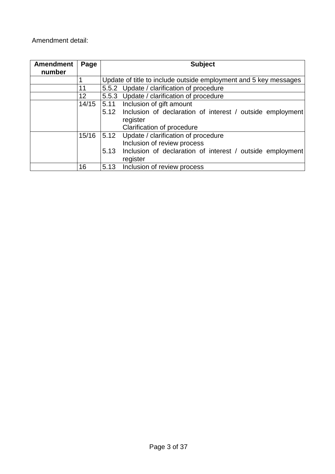#### Amendment detail:

| <b>Amendment</b><br>number | Page            | <b>Subject</b> |                                                                  |  |
|----------------------------|-----------------|----------------|------------------------------------------------------------------|--|
|                            |                 |                | Update of title to include outside employment and 5 key messages |  |
|                            | 11              |                | 5.5.2 Update / clarification of procedure                        |  |
|                            | 12 <sup>2</sup> |                | 5.5.3 Update / clarification of procedure                        |  |
|                            | 14/15           | 5.11           | Inclusion of gift amount                                         |  |
|                            |                 | 5.12           | Inclusion of declaration of interest / outside employment        |  |
|                            |                 | register       |                                                                  |  |
|                            |                 |                | Clarification of procedure                                       |  |
|                            | 15/16           | 5.12           | Update / clarification of procedure                              |  |
|                            |                 |                | Inclusion of review process                                      |  |
|                            |                 | 5.13           | Inclusion of declaration of interest / outside employment        |  |
|                            |                 |                | register                                                         |  |
|                            | 16              | 5.13           | Inclusion of review process                                      |  |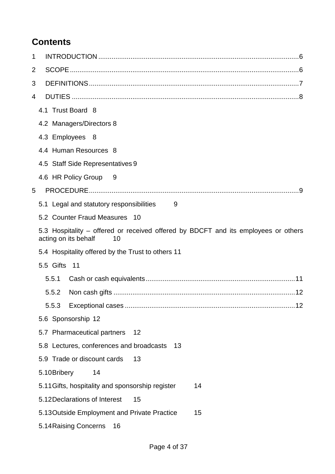## **Contents**

| 1 |                                                                                                                  |
|---|------------------------------------------------------------------------------------------------------------------|
| 2 |                                                                                                                  |
| 3 |                                                                                                                  |
| 4 |                                                                                                                  |
|   | 4.1 Trust Board 8                                                                                                |
|   | 4.2 Managers/Directors 8                                                                                         |
|   | 4.3 Employees 8                                                                                                  |
|   | 4.4 Human Resources 8                                                                                            |
|   | 4.5 Staff Side Representatives 9                                                                                 |
|   | 4.6 HR Policy Group 9                                                                                            |
| 5 |                                                                                                                  |
|   | 5.1 Legal and statutory responsibilities<br>- 9                                                                  |
|   | 5.2 Counter Fraud Measures 10                                                                                    |
|   | 5.3 Hospitality - offered or received offered by BDCFT and its employees or others<br>acting on its behalf<br>10 |
|   | 5.4 Hospitality offered by the Trust to others 11                                                                |
|   | 5.5 Gifts 11                                                                                                     |
|   | 5.5.1                                                                                                            |
|   | 5.5.2                                                                                                            |
|   | 5.5.3<br>12                                                                                                      |
|   | 5.6 Sponsorship 12                                                                                               |
|   | 5.7 Pharmaceutical partners<br>12                                                                                |
|   | 5.8 Lectures, conferences and broadcasts<br>13                                                                   |
|   | 5.9 Trade or discount cards<br>13                                                                                |
|   | 5.10Bribery<br>14                                                                                                |
|   | 5.11 Gifts, hospitality and sponsorship register<br>14                                                           |
|   | 5.12 Declarations of Interest<br>15                                                                              |
|   | 5.13 Outside Employment and Private Practice<br>15                                                               |
|   | 5.14 Raising Concerns<br>16                                                                                      |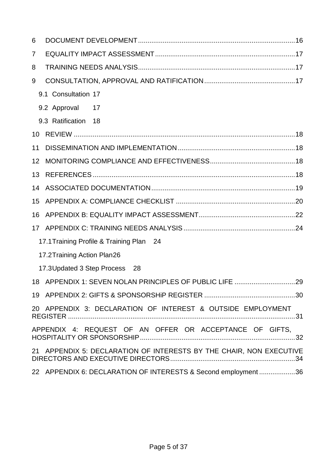| 6               |                                                                     |
|-----------------|---------------------------------------------------------------------|
| $\overline{7}$  |                                                                     |
| 8               |                                                                     |
| 9               |                                                                     |
|                 | 9.1 Consultation 17                                                 |
|                 | 9.2 Approval 17                                                     |
|                 | 9.3 Ratification 18                                                 |
| 10              |                                                                     |
| 11              |                                                                     |
| 12 <sup>°</sup> |                                                                     |
| 13              |                                                                     |
|                 |                                                                     |
| 15              |                                                                     |
|                 |                                                                     |
|                 |                                                                     |
|                 | 17.1 Training Profile & Training Plan 24                            |
|                 | 17.2 Training Action Plan26                                         |
|                 | 17.3Updated 3 Step Process 28                                       |
|                 |                                                                     |
|                 |                                                                     |
|                 | 20 APPENDIX 3: DECLARATION OF INTEREST & OUTSIDE EMPLOYMENT         |
|                 | APPENDIX 4: REQUEST OF AN OFFER OR ACCEPTANCE OF GIFTS,<br>.32      |
|                 | 21 APPENDIX 5: DECLARATION OF INTERESTS BY THE CHAIR, NON EXECUTIVE |
|                 | 22 APPENDIX 6: DECLARATION OF INTERESTS & Second employment36       |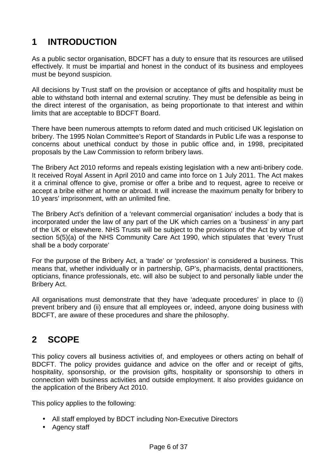## **1 INTRODUCTION**

As a public sector organisation, BDCFT has a duty to ensure that its resources are utilised effectively. It must be impartial and honest in the conduct of its business and employees must be beyond suspicion.

All decisions by Trust staff on the provision or acceptance of gifts and hospitality must be able to withstand both internal and external scrutiny. They must be defensible as being in the direct interest of the organisation, as being proportionate to that interest and within limits that are acceptable to BDCFT Board.

There have been numerous attempts to reform dated and much criticised UK legislation on bribery. The 1995 Nolan Committee's Report of Standards in Public Life was a response to concerns about unethical conduct by those in public office and, in 1998, precipitated proposals by the Law Commission to reform bribery laws.

The Bribery Act 2010 reforms and repeals existing legislation with a new anti-bribery code. It received Royal Assent in April 2010 and came into force on 1 July 2011. The Act makes it a criminal offence to give, promise or offer a bribe and to request, agree to receive or accept a bribe either at home or abroad. It will increase the maximum penalty for bribery to 10 years' imprisonment, with an unlimited fine.

The Bribery Act's definition of a 'relevant commercial organisation' includes a body that is incorporated under the law of any part of the UK which carries on a 'business' in any part of the UK or elsewhere. NHS Trusts will be subject to the provisions of the Act by virtue of section 5(5)(a) of the NHS Community Care Act 1990, which stipulates that 'every Trust shall be a body corporate'

For the purpose of the Bribery Act, a 'trade' or 'profession' is considered a business. This means that, whether individually or in partnership, GP's, pharmacists, dental practitioners, opticians, finance professionals, etc. will also be subject to and personally liable under the Bribery Act.

All organisations must demonstrate that they have 'adequate procedures' in place to (i) prevent bribery and (ii) ensure that all employees or, indeed, anyone doing business with BDCFT, are aware of these procedures and share the philosophy.

## **2 SCOPE**

This policy covers all business activities of, and employees or others acting on behalf of BDCFT. The policy provides guidance and advice on the offer and or receipt of gifts, hospitality, sponsorship, or the provision gifts, hospitality or sponsorship to others in connection with business activities and outside employment. It also provides guidance on the application of the Bribery Act 2010.

This policy applies to the following:

- All staff employed by BDCT including Non-Executive Directors
- Agency staff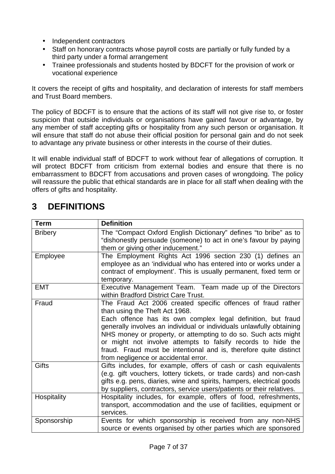- Independent contractors
- Staff on honorary contracts whose payroll costs are partially or fully funded by a third party under a formal arrangement
- Trainee professionals and students hosted by BDCFT for the provision of work or vocational experience

It covers the receipt of gifts and hospitality, and declaration of interests for staff members and Trust Board members.

The policy of BDCFT is to ensure that the actions of its staff will not give rise to, or foster suspicion that outside individuals or organisations have gained favour or advantage, by any member of staff accepting gifts or hospitality from any such person or organisation. It will ensure that staff do not abuse their official position for personal gain and do not seek to advantage any private business or other interests in the course of their duties.

It will enable individual staff of BDCFT to work without fear of allegations of corruption. It will protect BDCFT from criticism from external bodies and ensure that there is no embarrassment to BDCFT from accusations and proven cases of wrongdoing. The policy will reassure the public that ethical standards are in place for all staff when dealing with the offers of gifts and hospitality.

| <b>Term</b>    | <b>Definition</b>                                                                                                                                                                                                                                                                                                                                                                                                                                                                     |  |  |
|----------------|---------------------------------------------------------------------------------------------------------------------------------------------------------------------------------------------------------------------------------------------------------------------------------------------------------------------------------------------------------------------------------------------------------------------------------------------------------------------------------------|--|--|
| <b>Bribery</b> | The "Compact Oxford English Dictionary" defines "to bribe" as to<br>"dishonestly persuade (someone) to act in one's favour by paying<br>them or giving other inducement."                                                                                                                                                                                                                                                                                                             |  |  |
| Employee       | The Employment Rights Act 1996 section 230 (1) defines an<br>employee as an 'individual who has entered into or works under a<br>contract of employment'. This is usually permanent, fixed term or<br>temporary.                                                                                                                                                                                                                                                                      |  |  |
| <b>EMT</b>     | Executive Management Team. Team made up of the Directors<br>within Bradford District Care Trust.                                                                                                                                                                                                                                                                                                                                                                                      |  |  |
| Fraud          | The Fraud Act 2006 created specific offences of fraud rather<br>than using the Theft Act 1968.<br>Each offence has its own complex legal definition, but fraud<br>generally involves an individual or individuals unlawfully obtaining<br>NHS money or property, or attempting to do so. Such acts might<br>or might not involve attempts to falsify records to hide the<br>fraud. Fraud must be intentional and is, therefore quite distinct<br>from negligence or accidental error. |  |  |
| <b>Gifts</b>   | Gifts includes, for example, offers of cash or cash equivalents<br>(e.g. gift vouchers, lottery tickets, or trade cards) and non-cash<br>gifts e.g. pens, diaries, wine and spirits, hampers, electrical goods<br>by suppliers, contractors, service users/patients or their relatives.                                                                                                                                                                                               |  |  |
| Hospitality    | Hospitality includes, for example, offers of food, refreshments,<br>transport, accommodation and the use of facilities, equipment or<br>services.                                                                                                                                                                                                                                                                                                                                     |  |  |
| Sponsorship    | Events for which sponsorship is received from any non-NHS<br>source or events organised by other parties which are sponsored                                                                                                                                                                                                                                                                                                                                                          |  |  |

## **3 DEFINITIONS**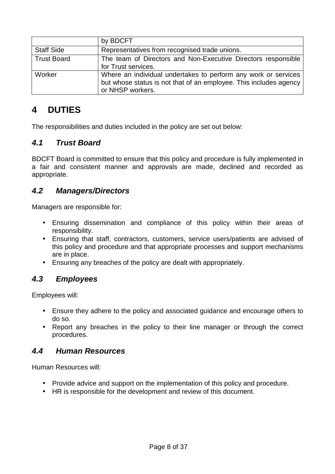|                    | by BDCFT                                                                                                                                                |  |
|--------------------|---------------------------------------------------------------------------------------------------------------------------------------------------------|--|
| <b>Staff Side</b>  | Representatives from recognised trade unions.                                                                                                           |  |
| <b>Trust Board</b> | The team of Directors and Non-Executive Directors responsible<br>for Trust services.                                                                    |  |
| Worker             | Where an individual undertakes to perform any work or services<br>but whose status is not that of an employee. This includes agency<br>or NHSP workers. |  |

## **4 DUTIES**

The responsibilities and duties included in the policy are set out below:

## **4.1 Trust Board**

BDCFT Board is committed to ensure that this policy and procedure is fully implemented in a fair and consistent manner and approvals are made, declined and recorded as appropriate.

## **4.2 Managers/Directors**

Managers are responsible for:

- Ensuring dissemination and compliance of this policy within their areas of responsibility.
- Ensuring that staff, contractors, customers, service users/patients are advised of this policy and procedure and that appropriate processes and support mechanisms are in place.
- Ensuring any breaches of the policy are dealt with appropriately.

#### **4.3 Employees**

Employees will:

- Ensure they adhere to the policy and associated guidance and encourage others to do so.
- Report any breaches in the policy to their line manager or through the correct procedures.

#### **4.4 Human Resources**

Human Resources will:

- Provide advice and support on the implementation of this policy and procedure.
- HR is responsible for the development and review of this document.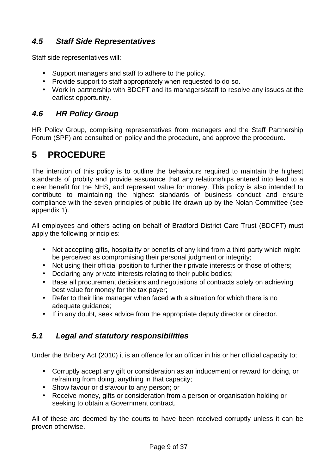## **4.5 Staff Side Representatives**

Staff side representatives will:

- Support managers and staff to adhere to the policy.
- Provide support to staff appropriately when requested to do so.
- Work in partnership with BDCFT and its managers/staff to resolve any issues at the earliest opportunity.

## **4.6 HR Policy Group**

HR Policy Group, comprising representatives from managers and the Staff Partnership Forum (SPF) are consulted on policy and the procedure, and approve the procedure.

## **5 PROCEDURE**

The intention of this policy is to outline the behaviours required to maintain the highest standards of probity and provide assurance that any relationships entered into lead to a clear benefit for the NHS, and represent value for money. This policy is also intended to contribute to maintaining the highest standards of business conduct and ensure compliance with the seven principles of public life drawn up by the Nolan Committee (see appendix 1).

All employees and others acting on behalf of Bradford District Care Trust (BDCFT) must apply the following principles:

- Not accepting gifts, hospitality or benefits of any kind from a third party which might be perceived as compromising their personal judgment or integrity;
- Not using their official position to further their private interests or those of others;
- Declaring any private interests relating to their public bodies;
- Base all procurement decisions and negotiations of contracts solely on achieving best value for money for the tax payer;
- Refer to their line manager when faced with a situation for which there is no adequate guidance;
- If in any doubt, seek advice from the appropriate deputy director or director.

#### **5.1 Legal and statutory responsibilities**

Under the Bribery Act (2010) it is an offence for an officer in his or her official capacity to;

- Corruptly accept any gift or consideration as an inducement or reward for doing, or refraining from doing, anything in that capacity;
- Show favour or disfavour to any person; or
- Receive money, gifts or consideration from a person or organisation holding or seeking to obtain a Government contract.

All of these are deemed by the courts to have been received corruptly unless it can be proven otherwise.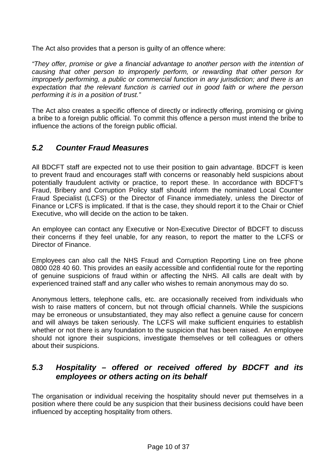The Act also provides that a person is guilty of an offence where:

"They offer, promise or give a financial advantage to another person with the intention of causing that other person to improperly perform, or rewarding that other person for improperly performing, a public or commercial function in any jurisdiction; and there is an expectation that the relevant function is carried out in good faith or where the person performing it is in a position of trust."

The Act also creates a specific offence of directly or indirectly offering, promising or giving a bribe to a foreign public official. To commit this offence a person must intend the bribe to influence the actions of the foreign public official.

## **5.2 Counter Fraud Measures**

All BDCFT staff are expected not to use their position to gain advantage. BDCFT is keen to prevent fraud and encourages staff with concerns or reasonably held suspicions about potentially fraudulent activity or practice, to report these. In accordance with BDCFT's Fraud, Bribery and Corruption Policy staff should inform the nominated Local Counter Fraud Specialist (LCFS) or the Director of Finance immediately, unless the Director of Finance or LCFS is implicated. If that is the case, they should report it to the Chair or Chief Executive, who will decide on the action to be taken.

An employee can contact any Executive or Non-Executive Director of BDCFT to discuss their concerns if they feel unable, for any reason, to report the matter to the LCFS or Director of Finance.

Employees can also call the NHS Fraud and Corruption Reporting Line on free phone 0800 028 40 60. This provides an easily accessible and confidential route for the reporting of genuine suspicions of fraud within or affecting the NHS. All calls are dealt with by experienced trained staff and any caller who wishes to remain anonymous may do so.

Anonymous letters, telephone calls, etc. are occasionally received from individuals who wish to raise matters of concern, but not through official channels. While the suspicions may be erroneous or unsubstantiated, they may also reflect a genuine cause for concern and will always be taken seriously. The LCFS will make sufficient enquiries to establish whether or not there is any foundation to the suspicion that has been raised. An employee should not ignore their suspicions, investigate themselves or tell colleagues or others about their suspicions.

#### **5.3 Hospitality – offered or received offered by BDCFT and its employees or others acting on its behalf**

The organisation or individual receiving the hospitality should never put themselves in a position where there could be any suspicion that their business decisions could have been influenced by accepting hospitality from others.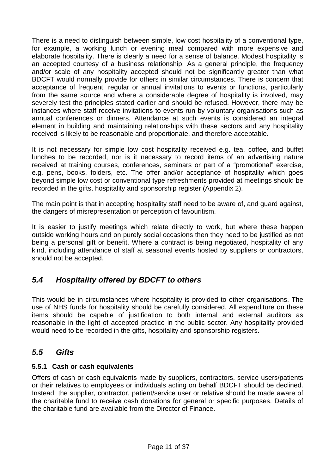There is a need to distinguish between simple, low cost hospitality of a conventional type, for example, a working lunch or evening meal compared with more expensive and elaborate hospitality. There is clearly a need for a sense of balance. Modest hospitality is an accepted courtesy of a business relationship. As a general principle, the frequency and/or scale of any hospitality accepted should not be significantly greater than what BDCFT would normally provide for others in similar circumstances. There is concern that acceptance of frequent, regular or annual invitations to events or functions, particularly from the same source and where a considerable degree of hospitality is involved, may severely test the principles stated earlier and should be refused. However, there may be instances where staff receive invitations to events run by voluntary organisations such as annual conferences or dinners. Attendance at such events is considered an integral element in building and maintaining relationships with these sectors and any hospitality received is likely to be reasonable and proportionate, and therefore acceptable.

It is not necessary for simple low cost hospitality received e.g. tea, coffee, and buffet lunches to be recorded, nor is it necessary to record items of an advertising nature received at training courses, conferences, seminars or part of a "promotional" exercise, e.g. pens, books, folders, etc. The offer and/or acceptance of hospitality which goes beyond simple low cost or conventional type refreshments provided at meetings should be recorded in the gifts, hospitality and sponsorship register (Appendix 2).

The main point is that in accepting hospitality staff need to be aware of, and guard against, the dangers of misrepresentation or perception of favouritism.

It is easier to justify meetings which relate directly to work, but where these happen outside working hours and on purely social occasions then they need to be justified as not being a personal gift or benefit. Where a contract is being negotiated, hospitality of any kind, including attendance of staff at seasonal events hosted by suppliers or contractors, should not be accepted.

## **5.4 Hospitality offered by BDCFT to others**

This would be in circumstances where hospitality is provided to other organisations. The use of NHS funds for hospitality should be carefully considered. All expenditure on these items should be capable of justification to both internal and external auditors as reasonable in the light of accepted practice in the public sector. Any hospitality provided would need to be recorded in the gifts, hospitality and sponsorship registers.

#### **5.5 Gifts**

#### **5.5.1 Cash or cash equivalents**

Offers of cash or cash equivalents made by suppliers, contractors, service users/patients or their relatives to employees or individuals acting on behalf BDCFT should be declined. Instead, the supplier, contractor, patient/service user or relative should be made aware of the charitable fund to receive cash donations for general or specific purposes. Details of the charitable fund are available from the Director of Finance.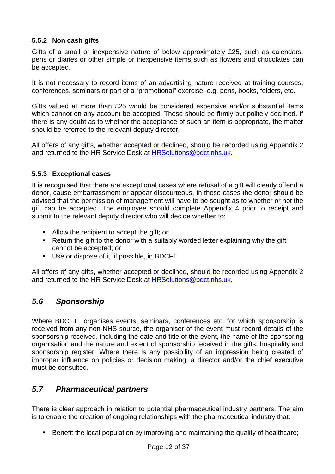#### **5.5.2 Non cash gifts**

Gifts of a small or inexpensive nature of below approximately £25, such as calendars, pens or diaries or other simple or inexpensive items such as flowers and chocolates can be accepted.

It is not necessary to record items of an advertising nature received at training courses, conferences, seminars or part of a "promotional" exercise, e.g. pens, books, folders, etc.

Gifts valued at more than £25 would be considered expensive and/or substantial items which cannot on any account be accepted. These should be firmly but politely declined. If there is any doubt as to whether the acceptance of such an item is appropriate, the matter should be referred to the relevant deputy director.

All offers of any gifts, whether accepted or declined, should be recorded using Appendix 2 and returned to the HR Service Desk at HRSolutions@bdct.nhs.uk.

#### **5.5.3 Exceptional cases**

It is recognised that there are exceptional cases where refusal of a gift will clearly offend a donor, cause embarrassment or appear discourteous. In these cases the donor should be advised that the permission of management will have to be sought as to whether or not the gift can be accepted. The employee should complete Appendix 4 prior to receipt and submit to the relevant deputy director who will decide whether to:

- Allow the recipient to accept the gift; or
- Return the gift to the donor with a suitably worded letter explaining why the gift cannot be accepted; or
- Use or dispose of it, if possible, in BDCFT

All offers of any gifts, whether accepted or declined, should be recorded using Appendix 2 and returned to the HR Service Desk at HRSolutions@bdct.nhs.uk.

## **5.6 Sponsorship**

Where BDCFT organises events, seminars, conferences etc. for which sponsorship is received from any non-NHS source, the organiser of the event must record details of the sponsorship received, including the date and title of the event, the name of the sponsoring organisation and the nature and extent of sponsorship received in the gifts, hospitality and sponsorship register. Where there is any possibility of an impression being created of improper influence on policies or decision making, a director and/or the chief executive must be consulted.

## **5.7 Pharmaceutical partners**

There is clear approach in relation to potential pharmaceutical industry partners. The aim is to enable the creation of ongoing relationships with the pharmaceutical industry that:

• Benefit the local population by improving and maintaining the quality of healthcare;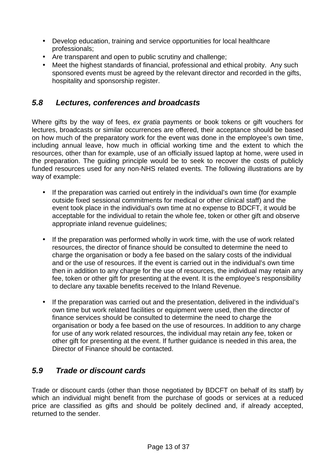- Develop education, training and service opportunities for local healthcare professionals;
- Are transparent and open to public scrutiny and challenge;
- Meet the highest standards of financial, professional and ethical probity. Any such sponsored events must be agreed by the relevant director and recorded in the gifts, hospitality and sponsorship register.

#### **5.8 Lectures, conferences and broadcasts**

Where gifts by the way of fees, ex gratia payments or book tokens or gift vouchers for lectures, broadcasts or similar occurrences are offered, their acceptance should be based on how much of the preparatory work for the event was done in the employee's own time, including annual leave, how much in official working time and the extent to which the resources, other than for example, use of an officially issued laptop at home, were used in the preparation. The guiding principle would be to seek to recover the costs of publicly funded resources used for any non-NHS related events. The following illustrations are by way of example:

- If the preparation was carried out entirely in the individual's own time (for example outside fixed sessional commitments for medical or other clinical staff) and the event took place in the individual's own time at no expense to BDCFT, it would be acceptable for the individual to retain the whole fee, token or other gift and observe appropriate inland revenue guidelines;
- If the preparation was performed wholly in work time, with the use of work related resources, the director of finance should be consulted to determine the need to charge the organisation or body a fee based on the salary costs of the individual and or the use of resources. If the event is carried out in the individual's own time then in addition to any charge for the use of resources, the individual may retain any fee, token or other gift for presenting at the event. It is the employee's responsibility to declare any taxable benefits received to the Inland Revenue.
- If the preparation was carried out and the presentation, delivered in the individual's own time but work related facilities or equipment were used, then the director of finance services should be consulted to determine the need to charge the organisation or body a fee based on the use of resources. In addition to any charge for use of any work related resources, the individual may retain any fee, token or other gift for presenting at the event. If further guidance is needed in this area, the Director of Finance should be contacted.

#### **5.9 Trade or discount cards**

Trade or discount cards (other than those negotiated by BDCFT on behalf of its staff) by which an individual might benefit from the purchase of goods or services at a reduced price are classified as gifts and should be politely declined and, if already accepted, returned to the sender.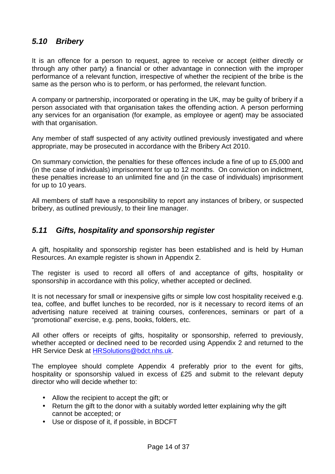#### **5.10 Bribery**

It is an offence for a person to request, agree to receive or accept (either directly or through any other party) a financial or other advantage in connection with the improper performance of a relevant function, irrespective of whether the recipient of the bribe is the same as the person who is to perform, or has performed, the relevant function.

A company or partnership, incorporated or operating in the UK, may be guilty of bribery if a person associated with that organisation takes the offending action. A person performing any services for an organisation (for example, as employee or agent) may be associated with that organisation.

Any member of staff suspected of any activity outlined previously investigated and where appropriate, may be prosecuted in accordance with the Bribery Act 2010.

On summary conviction, the penalties for these offences include a fine of up to £5,000 and (in the case of individuals) imprisonment for up to 12 months. On conviction on indictment, these penalties increase to an unlimited fine and (in the case of individuals) imprisonment for up to 10 years.

All members of staff have a responsibility to report any instances of bribery, or suspected bribery, as outlined previously, to their line manager.

#### **5.11 Gifts, hospitality and sponsorship register**

A gift, hospitality and sponsorship register has been established and is held by Human Resources. An example register is shown in Appendix 2.

The register is used to record all offers of and acceptance of gifts, hospitality or sponsorship in accordance with this policy, whether accepted or declined.

It is not necessary for small or inexpensive gifts or simple low cost hospitality received e.g. tea, coffee, and buffet lunches to be recorded, nor is it necessary to record items of an advertising nature received at training courses, conferences, seminars or part of a "promotional" exercise, e.g. pens, books, folders, etc.

All other offers or receipts of gifts, hospitality or sponsorship, referred to previously, whether accepted or declined need to be recorded using Appendix 2 and returned to the HR Service Desk at HRSolutions@bdct.nhs.uk.

The employee should complete Appendix 4 preferably prior to the event for gifts, hospitality or sponsorship valued in excess of £25 and submit to the relevant deputy director who will decide whether to:

- Allow the recipient to accept the gift; or
- Return the gift to the donor with a suitably worded letter explaining why the gift cannot be accepted; or
- Use or dispose of it, if possible, in BDCFT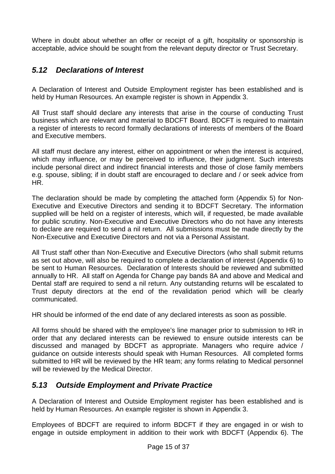Where in doubt about whether an offer or receipt of a gift, hospitality or sponsorship is acceptable, advice should be sought from the relevant deputy director or Trust Secretary.

#### **5.12 Declarations of Interest**

A Declaration of Interest and Outside Employment register has been established and is held by Human Resources. An example register is shown in Appendix 3.

All Trust staff should declare any interests that arise in the course of conducting Trust business which are relevant and material to BDCFT Board. BDCFT is required to maintain a register of interests to record formally declarations of interests of members of the Board and Executive members.

All staff must declare any interest, either on appointment or when the interest is acquired, which may influence, or may be perceived to influence, their judgment. Such interests include personal direct and indirect financial interests and those of close family members e.g. spouse, sibling; if in doubt staff are encouraged to declare and / or seek advice from HR.

The declaration should be made by completing the attached form (Appendix 5) for Non-Executive and Executive Directors and sending it to BDCFT Secretary. The information supplied will be held on a register of interests, which will, if requested, be made available for public scrutiny. Non-Executive and Executive Directors who do not have any interests to declare are required to send a nil return. All submissions must be made directly by the Non-Executive and Executive Directors and not via a Personal Assistant.

All Trust staff other than Non-Executive and Executive Directors (who shall submit returns as set out above, will also be required to complete a declaration of interest (Appendix 6) to be sent to Human Resources. Declaration of Interests should be reviewed and submitted annually to HR. All staff on Agenda for Change pay bands 8A and above and Medical and Dental staff are required to send a nil return. Any outstanding returns will be escalated to Trust deputy directors at the end of the revalidation period which will be clearly communicated.

HR should be informed of the end date of any declared interests as soon as possible.

All forms should be shared with the employee's line manager prior to submission to HR in order that any declared interests can be reviewed to ensure outside interests can be discussed and managed by BDCFT as appropriate. Managers who require advice / guidance on outside interests should speak with Human Resources. All completed forms submitted to HR will be reviewed by the HR team; any forms relating to Medical personnel will be reviewed by the Medical Director.

#### **5.13 Outside Employment and Private Practice**

A Declaration of Interest and Outside Employment register has been established and is held by Human Resources. An example register is shown in Appendix 3.

Employees of BDCFT are required to inform BDCFT if they are engaged in or wish to engage in outside employment in addition to their work with BDCFT (Appendix 6). The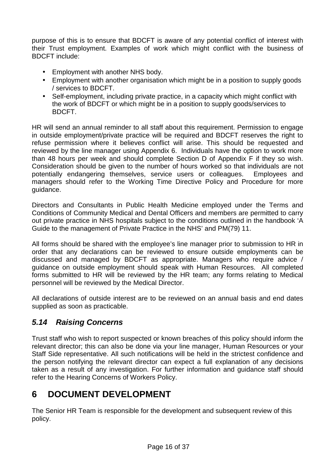purpose of this is to ensure that BDCFT is aware of any potential conflict of interest with their Trust employment. Examples of work which might conflict with the business of BDCFT include:

- Employment with another NHS body.
- Employment with another organisation which might be in a position to supply goods / services to BDCFT.
- Self-employment, including private practice, in a capacity which might conflict with the work of BDCFT or which might be in a position to supply goods/services to BDCFT.

HR will send an annual reminder to all staff about this requirement. Permission to engage in outside employment/private practice will be required and BDCFT reserves the right to refuse permission where it believes conflict will arise. This should be requested and reviewed by the line manager using Appendix 6. Individuals have the option to work more than 48 hours per week and should complete Section D of Appendix F if they so wish. Consideration should be given to the number of hours worked so that individuals are not potentially endangering themselves, service users or colleagues. Employees and managers should refer to the Working Time Directive Policy and Procedure for more guidance.

Directors and Consultants in Public Health Medicine employed under the Terms and Conditions of Community Medical and Dental Officers and members are permitted to carry out private practice in NHS hospitals subject to the conditions outlined in the handbook 'A Guide to the management of Private Practice in the NHS' and PM(79) 11.

All forms should be shared with the employee's line manager prior to submission to HR in order that any declarations can be reviewed to ensure outside employments can be discussed and managed by BDCFT as appropriate. Managers who require advice / guidance on outside employment should speak with Human Resources. All completed forms submitted to HR will be reviewed by the HR team; any forms relating to Medical personnel will be reviewed by the Medical Director.

All declarations of outside interest are to be reviewed on an annual basis and end dates supplied as soon as practicable.

## **5.14 Raising Concerns**

Trust staff who wish to report suspected or known breaches of this policy should inform the relevant director; this can also be done via your line manager, Human Resources or your Staff Side representative. All such notifications will be held in the strictest confidence and the person notifying the relevant director can expect a full explanation of any decisions taken as a result of any investigation. For further information and guidance staff should refer to the Hearing Concerns of Workers Policy.

## **6 DOCUMENT DEVELOPMENT**

The Senior HR Team is responsible for the development and subsequent review of this policy.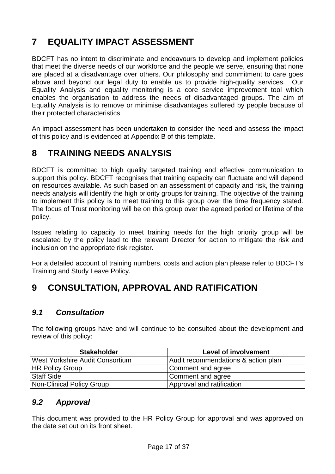## **7 EQUALITY IMPACT ASSESSMENT**

BDCFT has no intent to discriminate and endeavours to develop and implement policies that meet the diverse needs of our workforce and the people we serve, ensuring that none are placed at a disadvantage over others. Our philosophy and commitment to care goes above and beyond our legal duty to enable us to provide high-quality services. Our Equality Analysis and equality monitoring is a core service improvement tool which enables the organisation to address the needs of disadvantaged groups. The aim of Equality Analysis is to remove or minimise disadvantages suffered by people because of their protected characteristics.

An impact assessment has been undertaken to consider the need and assess the impact of this policy and is evidenced at Appendix B of this template.

## **8 TRAINING NEEDS ANALYSIS**

BDCFT is committed to high quality targeted training and effective communication to support this policy. BDCFT recognises that training capacity can fluctuate and will depend on resources available. As such based on an assessment of capacity and risk, the training needs analysis will identify the high priority groups for training. The objective of the training to implement this policy is to meet training to this group over the time frequency stated. The focus of Trust monitoring will be on this group over the agreed period or lifetime of the policy.

Issues relating to capacity to meet training needs for the high priority group will be escalated by the policy lead to the relevant Director for action to mitigate the risk and inclusion on the appropriate risk register.

For a detailed account of training numbers, costs and action plan please refer to BDCFT's Training and Study Leave Policy.

## **9 CONSULTATION, APPROVAL AND RATIFICATION**

#### **9.1 Consultation**

The following groups have and will continue to be consulted about the development and review of this policy:

| <b>Stakeholder</b>              | <b>Level of involvement</b>         |
|---------------------------------|-------------------------------------|
| West Yorkshire Audit Consortium | Audit recommendations & action plan |
| <b>HR Policy Group</b>          | Comment and agree                   |
| Staff Side                      | Comment and agree                   |
| Non-Clinical Policy Group       | Approval and ratification           |

## **9.2 Approval**

This document was provided to the HR Policy Group for approval and was approved on the date set out on its front sheet.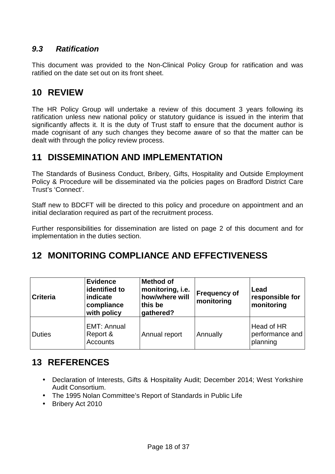## **9.3 Ratification**

This document was provided to the Non-Clinical Policy Group for ratification and was ratified on the date set out on its front sheet.

## **10 REVIEW**

The HR Policy Group will undertake a review of this document 3 years following its ratification unless new national policy or statutory guidance is issued in the interim that significantly affects it. It is the duty of Trust staff to ensure that the document author is made cognisant of any such changes they become aware of so that the matter can be dealt with through the policy review process.

## **11 DISSEMINATION AND IMPLEMENTATION**

The Standards of Business Conduct, Bribery, Gifts, Hospitality and Outside Employment Policy & Procedure will be disseminated via the policies pages on Bradford District Care Trust's 'Connect'.

Staff new to BDCFT will be directed to this policy and procedure on appointment and an initial declaration required as part of the recruitment process.

Further responsibilities for dissemination are listed on page 2 of this document and for implementation in the duties section.

## **12 MONITORING COMPLIANCE AND EFFECTIVENESS**

| <b>Criteria</b> | <b>Evidence</b><br>identified to<br>indicate<br>compliance<br>with policy | <b>Method of</b><br>monitoring, i.e.<br>how/where will<br>this be<br>gathered? | <b>Frequency of</b><br>monitoring | Lead<br>responsible for<br>monitoring     |
|-----------------|---------------------------------------------------------------------------|--------------------------------------------------------------------------------|-----------------------------------|-------------------------------------------|
| <b>Duties</b>   | EMT: Annual<br>Report &<br><b>Accounts</b>                                | Annual report                                                                  | Annually                          | Head of HR<br>performance and<br>planning |

## **13 REFERENCES**

- Declaration of Interests, Gifts & Hospitality Audit; December 2014; West Yorkshire Audit Consortium.
- The 1995 Nolan Committee's Report of Standards in Public Life
- Bribery Act 2010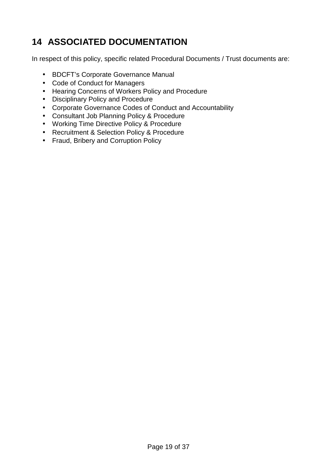## **14 ASSOCIATED DOCUMENTATION**

In respect of this policy, specific related Procedural Documents / Trust documents are:

- BDCFT's Corporate Governance Manual
- Code of Conduct for Managers
- Hearing Concerns of Workers Policy and Procedure
- Disciplinary Policy and Procedure
- Corporate Governance Codes of Conduct and Accountability
- Consultant Job Planning Policy & Procedure
- Working Time Directive Policy & Procedure
- Recruitment & Selection Policy & Procedure
- Fraud, Bribery and Corruption Policy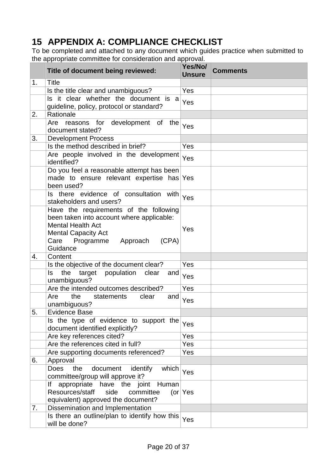## **15 APPENDIX A: COMPLIANCE CHECKLIST**

To be completed and attached to any document which guides practice when submitted to the appropriate committee for consideration and approval.

|    | Title of document being reviewed:                                                                                                                                                                | Yes/No/<br><b>Unsure</b> | <b>Comments</b> |
|----|--------------------------------------------------------------------------------------------------------------------------------------------------------------------------------------------------|--------------------------|-----------------|
| 1. | <b>Title</b>                                                                                                                                                                                     |                          |                 |
|    | Is the title clear and unambiguous?                                                                                                                                                              | Yes                      |                 |
|    | Is it clear whether the document is a<br>guideline, policy, protocol or standard?                                                                                                                | Yes                      |                 |
| 2. | Rationale                                                                                                                                                                                        |                          |                 |
|    | Are reasons for development of the<br>document stated?                                                                                                                                           | Yes                      |                 |
| 3. | <b>Development Process</b>                                                                                                                                                                       |                          |                 |
|    | Is the method described in brief?                                                                                                                                                                | Yes                      |                 |
|    | Are people involved in the development<br>identified?                                                                                                                                            | Yes                      |                 |
|    | Do you feel a reasonable attempt has been<br>made to ensure relevant expertise has Yes<br>been used?                                                                                             |                          |                 |
|    | Is there evidence of consultation with<br>stakeholders and users?                                                                                                                                | Yes                      |                 |
|    | Have the requirements of the following<br>been taken into account where applicable:<br><b>Mental Health Act</b><br><b>Mental Capacity Act</b><br>Care Programme<br>Approach<br>(CPA)<br>Guidance | Yes                      |                 |
| 4. | Content                                                                                                                                                                                          |                          |                 |
|    | Is the objective of the document clear?                                                                                                                                                          | Yes                      |                 |
|    | ls<br>the<br>target<br>population<br>clear<br>and<br>unambiguous?                                                                                                                                | Yes                      |                 |
|    | Are the intended outcomes described?                                                                                                                                                             | Yes                      |                 |
|    | the<br>Are<br>statements<br>clear<br>and<br>unambiguous?                                                                                                                                         | Yes                      |                 |
| 5. | <b>Evidence Base</b>                                                                                                                                                                             |                          |                 |
|    | Is the type of evidence to support the<br>document identified explicitly?                                                                                                                        | Yes                      |                 |
|    | Are key references cited?                                                                                                                                                                        | Yes                      |                 |
|    | Are the references cited in full?                                                                                                                                                                | Yes                      |                 |
|    | Are supporting documents referenced?                                                                                                                                                             | Yes                      |                 |
| 6. | Approval                                                                                                                                                                                         |                          |                 |
|    | <b>Does</b><br>document<br>identify<br>which<br>the<br>committee/group will approve it?                                                                                                          | Yes                      |                 |
|    | Human<br>lf<br>appropriate have the joint<br>Resources/staff<br>side<br>committee<br>equivalent) approved the document?                                                                          | (or $Y$ es               |                 |
| 7. | Dissemination and Implementation                                                                                                                                                                 |                          |                 |
|    | Is there an outline/plan to identify how this<br>will be done?                                                                                                                                   | Yes                      |                 |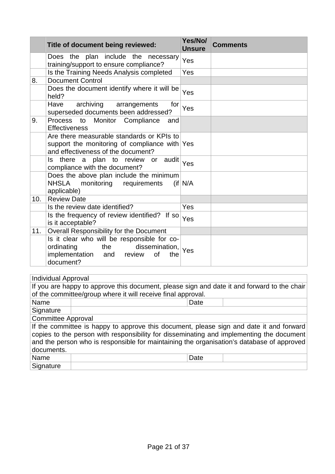|     | Title of document being reviewed:                                                                                                                          | Yes/No/<br><b>Unsure</b> | <b>Comments</b> |
|-----|------------------------------------------------------------------------------------------------------------------------------------------------------------|--------------------------|-----------------|
|     | Does the plan include the necessary<br>training/support to ensure compliance?                                                                              | Yes                      |                 |
|     | Is the Training Needs Analysis completed                                                                                                                   | Yes                      |                 |
| 8.  | <b>Document Control</b>                                                                                                                                    |                          |                 |
|     | Does the document identify where it will be<br>held?                                                                                                       | Yes                      |                 |
|     | archiving<br>Have<br>arrangements<br>for<br>superseded documents been addressed?                                                                           | Yes                      |                 |
| 9.  | Monitor<br>Process to<br>Compliance<br>and<br><b>Effectiveness</b>                                                                                         |                          |                 |
|     | Are there measurable standards or KPIs to<br>support the monitoring of compliance with Yes<br>and effectiveness of the document?                           |                          |                 |
|     | Is there a plan to review or audit<br>compliance with the document?                                                                                        | <b>Yes</b>               |                 |
|     | Does the above plan include the minimum<br>monitoring requirements<br><b>NHSLA</b><br>applicable)                                                          | (ii N/A)                 |                 |
| 10. | <b>Review Date</b>                                                                                                                                         |                          |                 |
|     | Is the review date identified?                                                                                                                             | <b>Yes</b>               |                 |
|     | Is the frequency of review identified? If so<br>is it acceptable?                                                                                          | Yes                      |                 |
| 11. | Overall Responsibility for the Document                                                                                                                    |                          |                 |
|     | Is it clear who will be responsible for co-<br>ordinating<br>the<br>dissemination,   <sub>Yes</sub><br>implementation and review<br>of<br>the<br>document? |                          |                 |

| <b>Individual Approval</b>                                                                  |                                                              |      |  |
|---------------------------------------------------------------------------------------------|--------------------------------------------------------------|------|--|
| If you are happy to approve this document, please sign and date it and forward to the chair |                                                              |      |  |
|                                                                                             | of the committee/group where it will receive final approval. |      |  |
| Name                                                                                        |                                                              | Date |  |
| Signature                                                                                   |                                                              |      |  |
| <b>Committee Approval</b>                                                                   |                                                              |      |  |
| If the committee is happy to approve this document, please sign and date it and forward     |                                                              |      |  |
| copies to the person with responsibility for disseminating and implementing the document    |                                                              |      |  |
| and the person who is responsible for maintaining the organisation's database of approved   |                                                              |      |  |
| documents.                                                                                  |                                                              |      |  |
| Name                                                                                        |                                                              | Date |  |
| Signature                                                                                   |                                                              |      |  |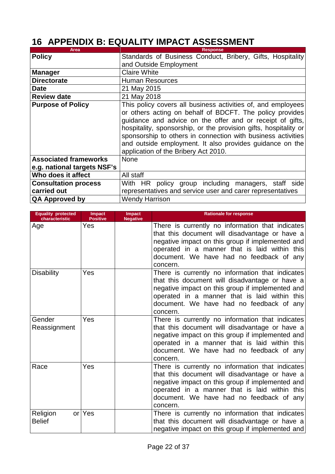## **16 APPENDIX B: EQUALITY IMPACT ASSESSMENT**

| Area                         | <b>Response</b>                                                                                                                                                                                                                                                                                                                                                                                                               |  |
|------------------------------|-------------------------------------------------------------------------------------------------------------------------------------------------------------------------------------------------------------------------------------------------------------------------------------------------------------------------------------------------------------------------------------------------------------------------------|--|
| <b>Policy</b>                | Standards of Business Conduct, Bribery, Gifts, Hospitality                                                                                                                                                                                                                                                                                                                                                                    |  |
|                              | and Outside Employment                                                                                                                                                                                                                                                                                                                                                                                                        |  |
| <b>Manager</b>               | <b>Claire White</b>                                                                                                                                                                                                                                                                                                                                                                                                           |  |
| <b>Directorate</b>           | <b>Human Resources</b>                                                                                                                                                                                                                                                                                                                                                                                                        |  |
| <b>Date</b>                  | 21 May 2015                                                                                                                                                                                                                                                                                                                                                                                                                   |  |
| <b>Review date</b>           | 21 May 2018                                                                                                                                                                                                                                                                                                                                                                                                                   |  |
| <b>Purpose of Policy</b>     | This policy covers all business activities of, and employees<br>or others acting on behalf of BDCFT. The policy provides<br>guidance and advice on the offer and or receipt of gifts,<br>hospitality, sponsorship, or the provision gifts, hospitality or<br>sponsorship to others in connection with business activities<br>and outside employment. It also provides guidance on the<br>application of the Bribery Act 2010. |  |
| <b>Associated frameworks</b> | <b>None</b>                                                                                                                                                                                                                                                                                                                                                                                                                   |  |
| e.g. national targets NSF's  |                                                                                                                                                                                                                                                                                                                                                                                                                               |  |
| Who does it affect           | All staff                                                                                                                                                                                                                                                                                                                                                                                                                     |  |
| <b>Consultation process</b>  | With HR policy group including managers, staff side                                                                                                                                                                                                                                                                                                                                                                           |  |
| carried out                  | representatives and service user and carer representatives                                                                                                                                                                                                                                                                                                                                                                    |  |
| <b>QA Approved by</b>        | <b>Wendy Harrison</b>                                                                                                                                                                                                                                                                                                                                                                                                         |  |

| <b>Equality protected</b><br>characteristic | <b>Impact</b><br><b>Positive</b> | Impact<br><b>Negative</b> | <b>Rationale for response</b>                                                                                                                                                                                                                                   |
|---------------------------------------------|----------------------------------|---------------------------|-----------------------------------------------------------------------------------------------------------------------------------------------------------------------------------------------------------------------------------------------------------------|
| Age                                         | Yes                              |                           | There is currently no information that indicates<br>that this document will disadvantage or have a<br>negative impact on this group if implemented and<br>operated in a manner that is laid within this<br>document. We have had no feedback of any<br>concern. |
| <b>Disability</b>                           | Yes                              |                           | There is currently no information that indicates<br>that this document will disadvantage or have a<br>negative impact on this group if implemented and<br>operated in a manner that is laid within this<br>document. We have had no feedback of any<br>concern. |
| Gender<br>Reassignment                      | Yes                              |                           | There is currently no information that indicates<br>that this document will disadvantage or have a<br>negative impact on this group if implemented and<br>operated in a manner that is laid within this<br>document. We have had no feedback of any<br>concern. |
| Race                                        | Yes                              |                           | There is currently no information that indicates<br>that this document will disadvantage or have a<br>negative impact on this group if implemented and<br>operated in a manner that is laid within this<br>document. We have had no feedback of any<br>concern. |
| Religion<br><b>Belief</b>                   | or Yes                           |                           | There is currently no information that indicates<br>that this document will disadvantage or have a<br>negative impact on this group if implemented and                                                                                                          |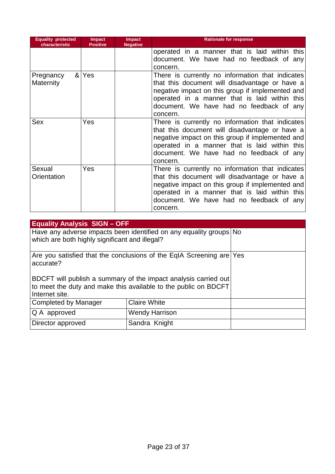| <b>Equality protected</b><br>characteristic | <b>Impact</b><br><b>Positive</b> | <b>Impact</b><br><b>Negative</b> | <b>Rationale for response</b>                    |
|---------------------------------------------|----------------------------------|----------------------------------|--------------------------------------------------|
|                                             |                                  |                                  | operated in a manner that is laid within this    |
|                                             |                                  |                                  | document. We have had no feedback of any         |
|                                             |                                  |                                  | concern.                                         |
| Pregnancy                                   | & Yes                            |                                  | There is currently no information that indicates |
| <b>Maternity</b>                            |                                  |                                  | that this document will disadvantage or have a   |
|                                             |                                  |                                  | negative impact on this group if implemented and |
|                                             |                                  |                                  | operated in a manner that is laid within this    |
|                                             |                                  |                                  | document. We have had no feedback of any         |
|                                             |                                  |                                  | concern.                                         |
| Sex                                         | Yes                              |                                  | There is currently no information that indicates |
|                                             |                                  |                                  | that this document will disadvantage or have a   |
|                                             |                                  |                                  | negative impact on this group if implemented and |
|                                             |                                  |                                  | operated in a manner that is laid within this    |
|                                             |                                  |                                  | document. We have had no feedback of any         |
|                                             |                                  |                                  | concern.                                         |
| Sexual                                      | Yes                              |                                  | There is currently no information that indicates |
| Orientation                                 |                                  |                                  | that this document will disadvantage or have a   |
|                                             |                                  |                                  | negative impact on this group if implemented and |
|                                             |                                  |                                  | operated in a manner that is laid within this    |
|                                             |                                  |                                  | document. We have had no feedback of any         |
|                                             |                                  |                                  | concern.                                         |

| <b>Equality Analysis SIGN-OFF</b>              |                                                                                                                                                                                                            |  |
|------------------------------------------------|------------------------------------------------------------------------------------------------------------------------------------------------------------------------------------------------------------|--|
| which are both highly significant and illegal? | Have any adverse impacts been identified on any equality groups No                                                                                                                                         |  |
| accurate?                                      | Are you satisfied that the conclusions of the EqIA Screening are Yes<br>BDCFT will publish a summary of the impact analysis carried out<br>to meet the duty and make this available to the public on BDCFT |  |
| Internet site.                                 |                                                                                                                                                                                                            |  |
| Completed by Manager                           |                                                                                                                                                                                                            |  |
| Q A approved                                   |                                                                                                                                                                                                            |  |
| Director approved                              | Sandra Knight                                                                                                                                                                                              |  |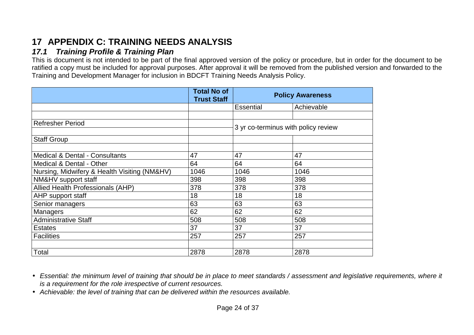## **17 APPENDIX C: TRAINING NEEDS ANALYSIS**

## **17.1 Training Profile & Training Plan**

 This is document is not intended to be part of the final approved version of the policy or procedure, but in order for the document to be ratified a copy must be included for approval purposes. After approval it will be removed from the published version and forwarded to the Training and Development Manager for inclusion in BDCFT Training Needs Analysis Policy.

|                                              | <b>Total No of</b><br><b>Trust Staff</b> | <b>Policy Awareness</b>             |            |  |  |
|----------------------------------------------|------------------------------------------|-------------------------------------|------------|--|--|
|                                              |                                          | <b>Essential</b>                    | Achievable |  |  |
|                                              |                                          |                                     |            |  |  |
| <b>Refresher Period</b>                      |                                          | 3 yr co-terminus with policy review |            |  |  |
|                                              |                                          |                                     |            |  |  |
| <b>Staff Group</b>                           |                                          |                                     |            |  |  |
|                                              |                                          |                                     |            |  |  |
| <b>Medical &amp; Dental - Consultants</b>    | 47                                       | 47                                  | 47         |  |  |
| Medical & Dental - Other                     | 64                                       | 64                                  | 64         |  |  |
| Nursing, Midwifery & Health Visiting (NM&HV) | 1046                                     | 1046                                | 1046       |  |  |
| NM&HV support staff                          | 398                                      | 398                                 | 398        |  |  |
| Allied Health Professionals (AHP)            | 378                                      | 378                                 | 378        |  |  |
| AHP support staff                            | 18                                       | 18                                  | 18         |  |  |
| Senior managers                              | 63                                       | 63                                  | 63         |  |  |
| <b>Managers</b>                              | 62                                       | 62                                  | 62         |  |  |
| <b>Administrative Staff</b>                  | 508                                      | 508                                 | 508        |  |  |
| <b>Estates</b>                               | 37                                       | 37                                  | 37         |  |  |
| <b>Facilities</b>                            | 257                                      | 257                                 | 257        |  |  |
|                                              |                                          |                                     |            |  |  |
| Total                                        | 2878                                     | 2878                                | 2878       |  |  |

- Essential: the minimum level of training that should be in place to meet standards / assessment and legislative requirements, where it is a requirement for the role irrespective of current resources.
- Achievable: the level of training that can be delivered within the resources available.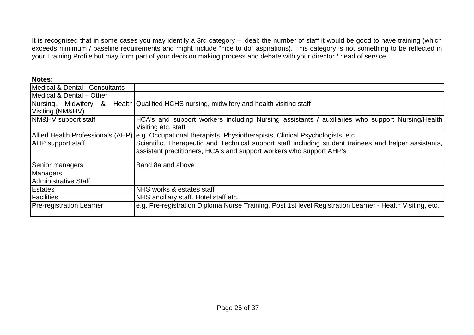It is recognised that in some cases you may identify a 3rd category – Ideal: the number of staff it would be good to have training (which<br>exceeds minimum / baseline requirements and might include "nice to do" aspirations). your Training Profile but may form part of your decision making process and debate with your director / head of service.

| Notes:                                   |                                                                                                                                                                               |
|------------------------------------------|-------------------------------------------------------------------------------------------------------------------------------------------------------------------------------|
| Medical & Dental - Consultants           |                                                                                                                                                                               |
| Medical & Dental - Other                 |                                                                                                                                                                               |
| Nursing, Midwifery &<br>Visiting (NM&HV) | Health Qualified HCHS nursing, midwifery and health visiting staff                                                                                                            |
| NM&HV support staff                      | HCA's and support workers including Nursing assistants / auxiliaries who support Nursing/Health<br>Visiting etc. staff                                                        |
| Allied Health Professionals (AHP)        | e.g. Occupational therapists, Physiotherapists, Clinical Psychologists, etc.                                                                                                  |
| <b>AHP</b> support staff                 | Scientific, Therapeutic and Technical support staff including student trainees and helper assistants,<br>assistant practitioners, HCA's and support workers who support AHP's |
| Senior managers                          | Band 8a and above                                                                                                                                                             |
| <b>Managers</b>                          |                                                                                                                                                                               |
| <b>Administrative Staff</b>              |                                                                                                                                                                               |
| <b>Estates</b>                           | NHS works & estates staff                                                                                                                                                     |
| <b>Facilities</b>                        | NHS ancillary staff. Hotel staff etc.                                                                                                                                         |
| <b>Pre-registration Learner</b>          | e.g. Pre-registration Diploma Nurse Training, Post 1st level Registration Learner - Health Visiting, etc.                                                                     |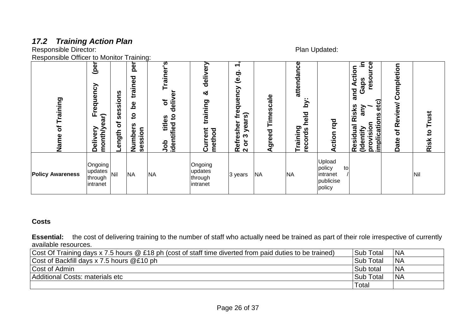## **17.2 Training Action Plan**  Responsible Director: Plan Updated:

Responsible Officer to Monitor Training:

| Training<br>৳<br>Name   | (per<br>Frequency<br>month/year)<br>Delivery | sions<br>n<br>Ö<br>ر<br>ð<br>ength | per<br>trained<br>ತಿ<br>$\overline{5}$<br>ທ<br>Number<br>session | ুত<br>raine<br>৳<br>-ii<br>8<br><u>۽</u><br>titles<br>tified<br>napi<br>doL | delivery<br>න්<br>training<br>Current<br>method | $\overline{\phantom{a}}$<br>$\overline{\phantom{0}}$<br>$\mathbf{e}$ .g<br>dneucy<br>Φ<br>ົທ<br>≑<br>ea<br>sher<br>⋋<br>ო<br>۵<br>θf<br>ō<br>$\tilde{\mathbf{K}}$ $\mathbf{N}$ | Timescale<br>greed<br>๔ | attendance<br><br>λq<br>held<br><b>training</b><br>records<br>— | rqd<br>Action                                             | ပ္ပ<br>$\blacksquare$<br>$\circ$<br>Ē<br>reso<br>Gaps<br>and A<br>etc)<br>Risks<br>Vue<br>n<br>implication<br>vision<br>$\overline{\mathbf{a}}$<br>ntify<br>Residr<br>(Ide<br>pro | Completion<br>Review/<br>$\mathbf{\ddot{o}}$<br>Date | Trust<br>$\overline{c}$<br>Risk |
|-------------------------|----------------------------------------------|------------------------------------|------------------------------------------------------------------|-----------------------------------------------------------------------------|-------------------------------------------------|--------------------------------------------------------------------------------------------------------------------------------------------------------------------------------|-------------------------|-----------------------------------------------------------------|-----------------------------------------------------------|-----------------------------------------------------------------------------------------------------------------------------------------------------------------------------------|------------------------------------------------------|---------------------------------|
| <b>Policy Awareness</b> | Ongoing<br>updates<br>through<br>intranet    | Nil                                | <b>NA</b>                                                        | <b>NA</b>                                                                   | Ongoing<br>updates<br>through<br>intranet       | 3 years                                                                                                                                                                        | <b>NA</b>               | <b>NA</b>                                                       | Upload<br>policy<br>to<br>intranet<br>publicise<br>policy |                                                                                                                                                                                   |                                                      | Nil                             |

#### **Costs**

**Essential:** the cost of delivering training to the number of staff who actually need be trained as part of their role irrespective of currently available resources.

| Cost Of Training days x 7.5 hours @ £18 ph (cost of staff time diverted from paid duties to be trained) | Sub Total        | <b>INA</b> |
|---------------------------------------------------------------------------------------------------------|------------------|------------|
| Cost of Backfill days x 7.5 hours @£10 ph                                                               | Sub Total        | <b>INA</b> |
| Cost of Admin                                                                                           | Sub total        | <b>NA</b>  |
| Additional Costs: materials etc                                                                         | <b>Sub Total</b> | <b>NA</b>  |
|                                                                                                         | Total            |            |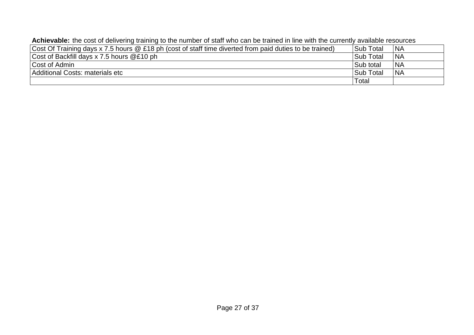|  |  | Achievable: the cost of delivering training to the number of staff who can be trained in line with the currently available resources |
|--|--|--------------------------------------------------------------------------------------------------------------------------------------|
|--|--|--------------------------------------------------------------------------------------------------------------------------------------|

| Cost Of Training days x 7.5 hours @ £18 ph (cost of staff time diverted from paid duties to be trained) | <b>Sub Total</b> | <b>NA</b>  |
|---------------------------------------------------------------------------------------------------------|------------------|------------|
| Cost of Backfill days x 7.5 hours @£10 ph                                                               | <b>Sub Total</b> | <b>NA</b>  |
| Cost of Admin                                                                                           | Sub total        | <b>INA</b> |
| Additional Costs: materials etc                                                                         | <b>Sub Total</b> | <b>NA</b>  |
|                                                                                                         | Total            |            |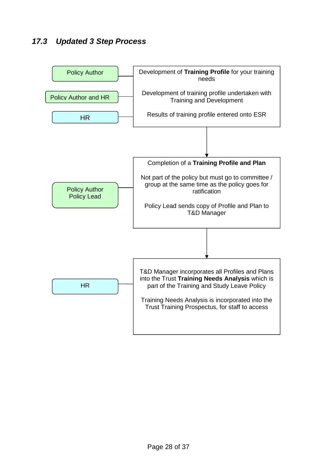## **17.3 Updated 3 Step Process**

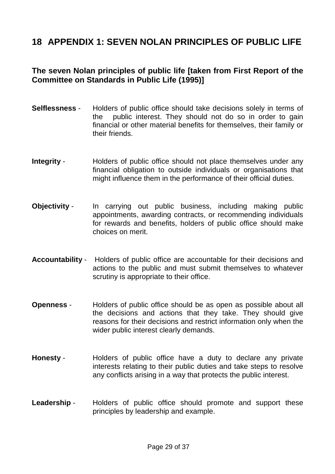## **18 APPENDIX 1: SEVEN NOLAN PRINCIPLES OF PUBLIC LIFE**

#### **The seven Nolan principles of public life [taken from First Report of the Committee on Standards in Public Life (1995)]**

- **Selflessness** Holders of public office should take decisions solely in terms of the public interest. They should not do so in order to gain financial or other material benefits for themselves, their family or their friends.
- **Integrity** Holders of public office should not place themselves under any financial obligation to outside individuals or organisations that might influence them in the performance of their official duties.
- **Objectivity** In carrying out public business, including making public appointments, awarding contracts, or recommending individuals for rewards and benefits, holders of public office should make choices on merit.
- **Accountability** Holders of public office are accountable for their decisions and actions to the public and must submit themselves to whatever scrutiny is appropriate to their office.
- **Openness** Holders of public office should be as open as possible about all the decisions and actions that they take. They should give reasons for their decisions and restrict information only when the wider public interest clearly demands.
- **Honesty** Holders of public office have a duty to declare any private interests relating to their public duties and take steps to resolve any conflicts arising in a way that protects the public interest.
- Leadership Holders of public office should promote and support these principles by leadership and example.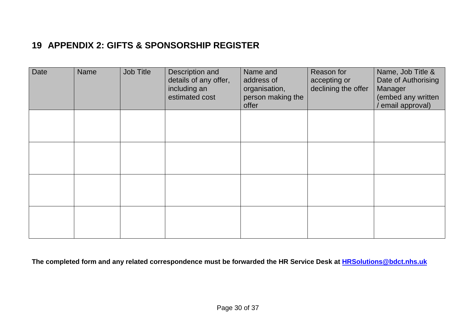## **19 APPENDIX 2: GIFTS & SPONSORSHIP REGISTER**

| Date | Name | Job Title | Description and<br>details of any offer,<br>including an<br>estimated cost | Name and<br>address of<br>organisation,<br>person making the<br>offer | Reason for<br>accepting or<br>declining the offer | Name, Job Title &<br>Date of Authorising<br>Manager<br>(embed any written<br>email approval) |
|------|------|-----------|----------------------------------------------------------------------------|-----------------------------------------------------------------------|---------------------------------------------------|----------------------------------------------------------------------------------------------|
|      |      |           |                                                                            |                                                                       |                                                   |                                                                                              |
|      |      |           |                                                                            |                                                                       |                                                   |                                                                                              |
|      |      |           |                                                                            |                                                                       |                                                   |                                                                                              |
|      |      |           |                                                                            |                                                                       |                                                   |                                                                                              |

**The completed form and any related correspondence must be forwarded the HR Service Desk at HRSolutions@bdct.nhs.uk**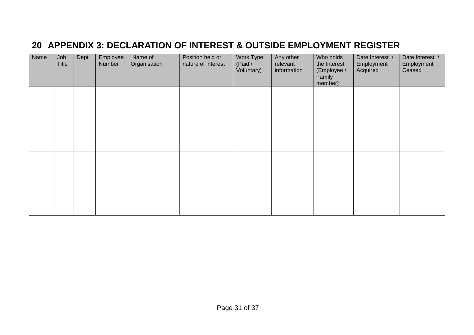## **20 APPENDIX 3: DECLARATION OF INTEREST & OUTSIDE EMPLOYMENT REGISTER**

| Name | Job<br><b>Title</b> | Dept | Employee<br>Number | Name of<br>Organisation | Position held or<br>nature of interest | Work Type<br>(Paid /<br>Voluntary) | Any other<br>relevant<br>information | Who holds<br>the Interest<br>(Employee /<br>Family<br>member) | Date Interest /<br>Employment<br>Acquired | Date Interest /<br>Employment<br>Ceased |
|------|---------------------|------|--------------------|-------------------------|----------------------------------------|------------------------------------|--------------------------------------|---------------------------------------------------------------|-------------------------------------------|-----------------------------------------|
|      |                     |      |                    |                         |                                        |                                    |                                      |                                                               |                                           |                                         |
|      |                     |      |                    |                         |                                        |                                    |                                      |                                                               |                                           |                                         |
|      |                     |      |                    |                         |                                        |                                    |                                      |                                                               |                                           |                                         |
|      |                     |      |                    |                         |                                        |                                    |                                      |                                                               |                                           |                                         |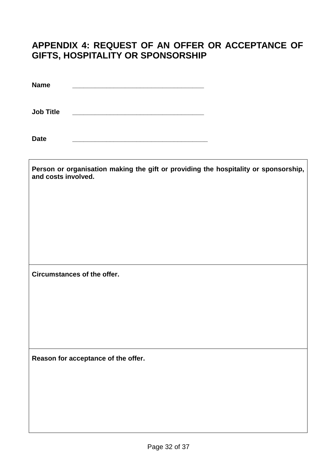## **APPENDIX 4: REQUEST OF AN OFFER OR ACCEPTANCE OF GIFTS, HOSPITALITY OR SPONSORSHIP**

**Name \_\_\_\_\_\_\_\_\_\_\_\_\_\_\_\_\_\_\_\_\_\_\_\_\_\_\_\_\_\_\_\_\_\_\_** 

**Job Title \_\_\_\_\_\_\_\_\_\_\_\_\_\_\_\_\_\_\_\_\_\_\_\_\_\_\_\_\_\_\_\_\_\_\_** 

**Date \_\_\_\_\_\_\_\_\_\_\_\_\_\_\_\_\_\_\_\_\_\_\_\_\_\_\_\_\_\_\_\_\_\_\_\_** 

| Person or organisation making the gift or providing the hospitality or sponsorship,<br>and costs involved. |
|------------------------------------------------------------------------------------------------------------|
|                                                                                                            |
|                                                                                                            |
|                                                                                                            |
| Circumstances of the offer.                                                                                |
|                                                                                                            |
|                                                                                                            |
| Reason for acceptance of the offer.                                                                        |
|                                                                                                            |
|                                                                                                            |
|                                                                                                            |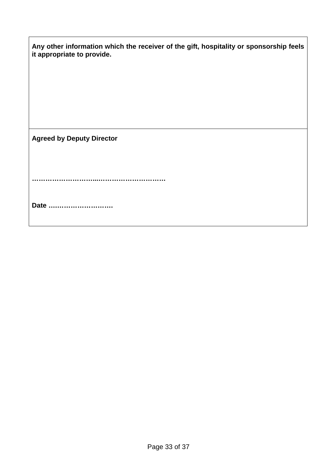| Any other information which the receiver of the gift, hospitality or sponsorship feels<br>it appropriate to provide. |
|----------------------------------------------------------------------------------------------------------------------|
|                                                                                                                      |
|                                                                                                                      |
| <b>Agreed by Deputy Director</b>                                                                                     |
|                                                                                                                      |
| Date                                                                                                                 |
|                                                                                                                      |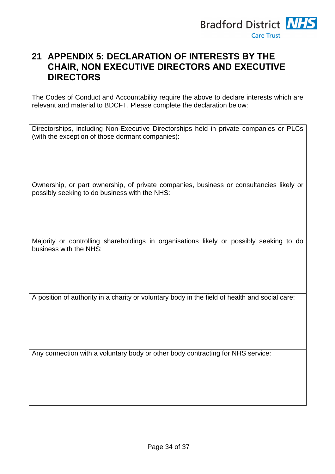

## **21 APPENDIX 5: DECLARATION OF INTERESTS BY THE CHAIR, NON EXECUTIVE DIRECTORS AND EXECUTIVE DIRECTORS**

The Codes of Conduct and Accountability require the above to declare interests which are relevant and material to BDCFT. Please complete the declaration below:

Directorships, including Non-Executive Directorships held in private companies or PLCs (with the exception of those dormant companies):

Ownership, or part ownership, of private companies, business or consultancies likely or possibly seeking to do business with the NHS:

Majority or controlling shareholdings in organisations likely or possibly seeking to do business with the NHS:

A position of authority in a charity or voluntary body in the field of health and social care:

Any connection with a voluntary body or other body contracting for NHS service: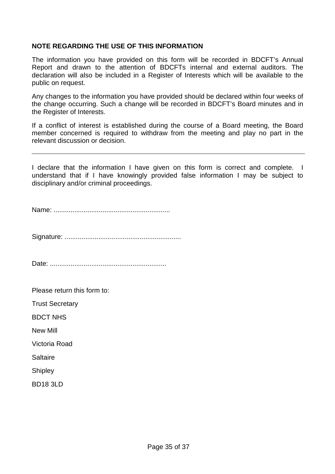#### **NOTE REGARDING THE USE OF THIS INFORMATION**

The information you have provided on this form will be recorded in BDCFT's Annual Report and drawn to the attention of BDCFTs internal and external auditors. The declaration will also be included in a Register of Interests which will be available to the public on request.

Any changes to the information you have provided should be declared within four weeks of the change occurring. Such a change will be recorded in BDCFT's Board minutes and in the Register of Interests.

If a conflict of interest is established during the course of a Board meeting, the Board member concerned is required to withdraw from the meeting and play no part in the relevant discussion or decision.

I declare that the information I have given on this form is correct and complete. I understand that if I have knowingly provided false information I may be subject to disciplinary and/or criminal proceedings.

Name: ..............................................................

Signature: ..............................................................

Date: ..............................................................

Please return this form to:

Trust Secretary

BDCT NHS

New Mill

Victoria Road

**Saltaire** 

**Shipley** 

BD18 3LD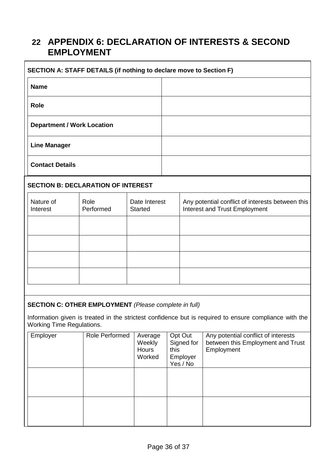## **22 APPENDIX 6: DECLARATION OF INTERESTS & SECOND EMPLOYMENT**

| SECTION A: STAFF DETAILS (if nothing to declare move to Section F) |  |  |  |
|--------------------------------------------------------------------|--|--|--|
| <b>Name</b>                                                        |  |  |  |
| <b>Role</b>                                                        |  |  |  |
| <b>Department / Work Location</b>                                  |  |  |  |
| <b>Line Manager</b>                                                |  |  |  |
| <b>Contact Details</b>                                             |  |  |  |

#### **SECTION B: DECLARATION OF INTEREST**

| Nature of<br>Interest | Role<br>Performed | Date Interest<br><b>Started</b> | Any potential conflict of interests between this<br>Interest and Trust Employment |
|-----------------------|-------------------|---------------------------------|-----------------------------------------------------------------------------------|
|                       |                   |                                 |                                                                                   |
|                       |                   |                                 |                                                                                   |
|                       |                   |                                 |                                                                                   |
|                       |                   |                                 |                                                                                   |

#### **SECTION C: OTHER EMPLOYMENT** (Please complete in full)

Information given is treated in the strictest confidence but is required to ensure compliance with the Working Time Regulations.

| Employer | Role Performed | Average<br>Weekly<br>Hours<br>Worked | Opt Out<br>Signed for<br>this<br>Employer<br>Yes / No | Any potential conflict of interests<br>between this Employment and Trust<br>Employment |
|----------|----------------|--------------------------------------|-------------------------------------------------------|----------------------------------------------------------------------------------------|
|          |                |                                      |                                                       |                                                                                        |
|          |                |                                      |                                                       |                                                                                        |